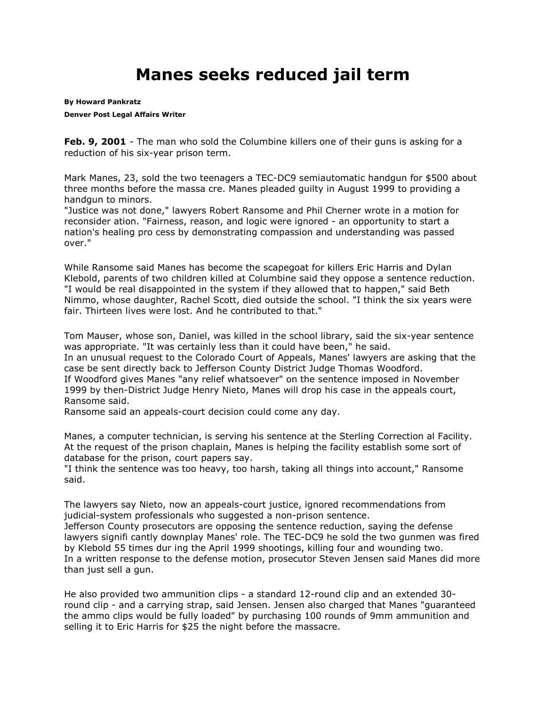## **Manes seeks reduced jail term**

**By [Howard Pankratz](mailto:newsroom@denverpost.com) Denver Post Legal Affairs Writer**

**Feb. 9, 2001** - The man who sold the Columbine killers one of their guns is asking for a reduction of his six-year prison term.

Mark Manes, 23, sold the two teenagers a TEC-DC9 semiautomatic handgun for \$500 about three months before the massa cre. Manes pleaded guilty in August 1999 to providing a handgun to minors.

"Justice was not done," lawyers Robert Ransome and Phil Cherner wrote in a motion for reconsider ation. "Fairness, reason, and logic were ignored - an opportunity to start a nation's healing pro cess by demonstrating compassion and understanding was passed over."

While Ransome said Manes has become the scapegoat for killers Eric Harris and Dylan Klebold, parents of two children killed at Columbine said they oppose a sentence reduction. "I would be real disappointed in the system if they allowed that to happen," said Beth Nimmo, whose daughter, Rachel Scott, died outside the school. "I think the six years were fair. Thirteen lives were lost. And he contributed to that."

Tom Mauser, whose son, Daniel, was killed in the school library, said the six-year sentence was appropriate. "It was certainly less than it could have been," he said. In an unusual request to the Colorado Court of Appeals, Manes' lawyers are asking that the case be sent directly back to Jefferson County District Judge Thomas Woodford. If Woodford gives Manes "any relief whatsoever" on the sentence imposed in November 1999 by then-District Judge Henry Nieto, Manes will drop his case in the appeals court, Ransome said.

Ransome said an appeals-court decision could come any day.

Manes, a computer technician, is serving his sentence at the Sterling Correction al Facility. At the request of the prison chaplain, Manes is helping the facility establish some sort of database for the prison, court papers say.

"I think the sentence was too heavy, too harsh, taking all things into account," Ransome said.

The lawyers say Nieto, now an appeals-court justice, ignored recommendations from judicial-system professionals who suggested a non-prison sentence.

Jefferson County prosecutors are opposing the sentence reduction, saying the defense lawyers signifi cantly downplay Manes' role. The TEC-DC9 he sold the two gunmen was fired by Klebold 55 times dur ing the April 1999 shootings, killing four and wounding two. In a written response to the defense motion, prosecutor Steven Jensen said Manes did more than just sell a gun.

He also provided two ammunition clips - a standard 12-round clip and an extended 30 round clip - and a carrying strap, said Jensen. Jensen also charged that Manes "guaranteed the ammo clips would be fully loaded" by purchasing 100 rounds of 9mm ammunition and selling it to Eric Harris for \$25 the night before the massacre.